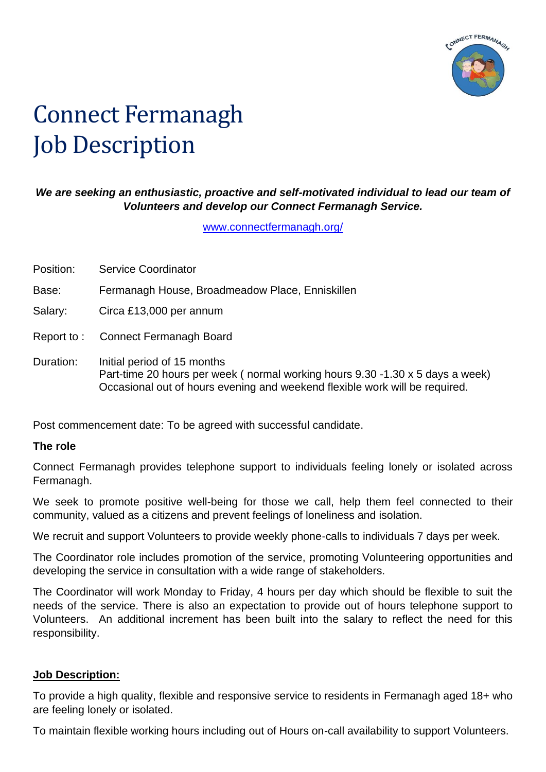

# Connect Fermanagh Job Description

#### *We are seeking an enthusiastic, proactive and self-motivated individual to lead our team of Volunteers and develop our Connect Fermanagh Service.*

[www.connectfermanagh.org/](http://www.connectfermanagh.org/)

| Position: | <b>Service Coordinator</b>                                                                                                                                                                  |
|-----------|---------------------------------------------------------------------------------------------------------------------------------------------------------------------------------------------|
| Base:     | Fermanagh House, Broadmeadow Place, Enniskillen                                                                                                                                             |
| Salary:   | Circa £13,000 per annum                                                                                                                                                                     |
|           | Report to: Connect Fermanagh Board                                                                                                                                                          |
| Duration: | Initial period of 15 months<br>Part-time 20 hours per week (normal working hours 9.30 -1.30 x 5 days a week)<br>Occasional out of hours evening and weekend flexible work will be required. |

Post commencement date: To be agreed with successful candidate.

#### **The role**

Connect Fermanagh provides telephone support to individuals feeling lonely or isolated across Fermanagh.

We seek to promote positive well-being for those we call, help them feel connected to their community, valued as a citizens and prevent feelings of loneliness and isolation.

We recruit and support Volunteers to provide weekly phone-calls to individuals 7 days per week.

The Coordinator role includes promotion of the service, promoting Volunteering opportunities and developing the service in consultation with a wide range of stakeholders.

The Coordinator will work Monday to Friday, 4 hours per day which should be flexible to suit the needs of the service. There is also an expectation to provide out of hours telephone support to Volunteers. An additional increment has been built into the salary to reflect the need for this responsibility.

#### **Job Description:**

To provide a high quality, flexible and responsive service to residents in Fermanagh aged 18+ who are feeling lonely or isolated.

To maintain flexible working hours including out of Hours on-call availability to support Volunteers.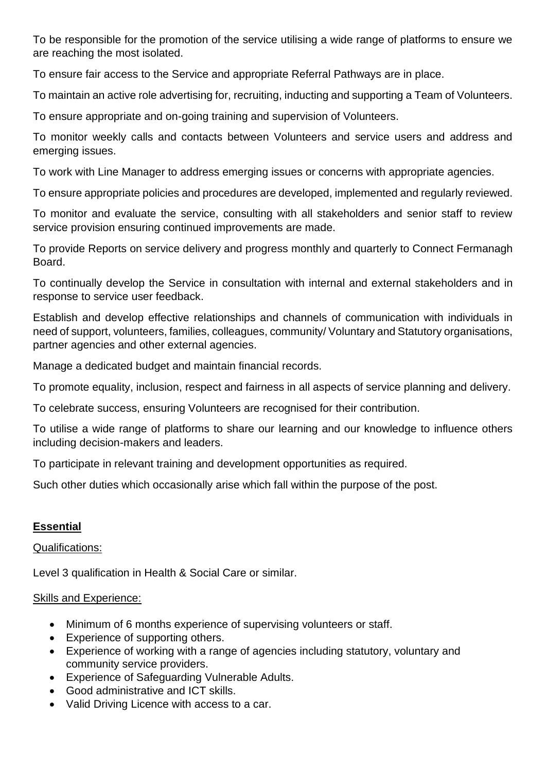To be responsible for the promotion of the service utilising a wide range of platforms to ensure we are reaching the most isolated.

To ensure fair access to the Service and appropriate Referral Pathways are in place.

To maintain an active role advertising for, recruiting, inducting and supporting a Team of Volunteers.

To ensure appropriate and on-going training and supervision of Volunteers.

To monitor weekly calls and contacts between Volunteers and service users and address and emerging issues.

To work with Line Manager to address emerging issues or concerns with appropriate agencies.

To ensure appropriate policies and procedures are developed, implemented and regularly reviewed.

To monitor and evaluate the service, consulting with all stakeholders and senior staff to review service provision ensuring continued improvements are made.

To provide Reports on service delivery and progress monthly and quarterly to Connect Fermanagh Board.

To continually develop the Service in consultation with internal and external stakeholders and in response to service user feedback.

Establish and develop effective relationships and channels of communication with individuals in need of support, volunteers, families, colleagues, community/ Voluntary and Statutory organisations, partner agencies and other external agencies.

Manage a dedicated budget and maintain financial records.

To promote equality, inclusion, respect and fairness in all aspects of service planning and delivery.

To celebrate success, ensuring Volunteers are recognised for their contribution.

To utilise a wide range of platforms to share our learning and our knowledge to influence others including decision-makers and leaders.

To participate in relevant training and development opportunities as required.

Such other duties which occasionally arise which fall within the purpose of the post.

### **Essential**

Qualifications:

Level 3 qualification in Health & Social Care or similar.

#### Skills and Experience:

- Minimum of 6 months experience of supervising volunteers or staff.
- Experience of supporting others.
- Experience of working with a range of agencies including statutory, voluntary and community service providers.
- Experience of Safeguarding Vulnerable Adults.
- Good administrative and ICT skills.
- Valid Driving Licence with access to a car.